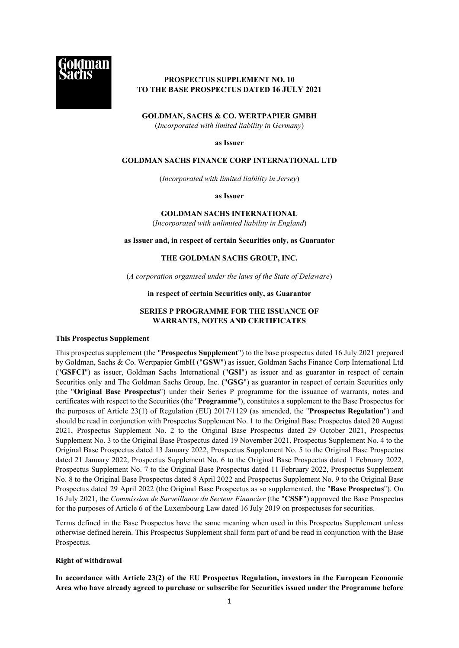

# **PROSPECTUS SUPPLEMENT NO. 10 TO THE BASE PROSPECTUS DATED 16 JULY 2021**

### **GOLDMAN, SACHS & CO. WERTPAPIER GMBH**

(*Incorporated with limited liability in Germany*)

**as Issuer**

#### **GOLDMAN SACHS FINANCE CORP INTERNATIONAL LTD**

(*Incorporated with limited liability in Jersey*)

**as Issuer**

#### **GOLDMAN SACHS INTERNATIONAL**

(*Incorporated with unlimited liability in England*)

## **as Issuer and, in respect of certain Securities only, as Guarantor**

# **THE GOLDMAN SACHS GROUP, INC.**

(*A corporation organised under the laws of the State of Delaware*)

#### **in respect of certain Securities only, as Guarantor**

# **SERIES P PROGRAMME FOR THE ISSUANCE OF WARRANTS, NOTES AND CERTIFICATES**

#### **This Prospectus Supplement**

This prospectus supplement (the "**Prospectus Supplement**") to the base prospectus dated 16 July 2021 prepared by Goldman, Sachs & Co. Wertpapier GmbH ("**GSW**") as issuer, Goldman Sachs Finance Corp International Ltd ("**GSFCI**") as issuer, Goldman Sachs International ("**GSI**") as issuer and as guarantor in respect of certain Securities only and The Goldman Sachs Group, Inc. ("**GSG**") as guarantor in respect of certain Securities only (the "**Original Base Prospectus**") under their Series P programme for the issuance of warrants, notes and certificates with respect to the Securities (the "**Programme**"), constitutes a supplement to the Base Prospectus for the purposes of Article 23(1) of Regulation (EU) 2017/1129 (as amended, the "**Prospectus Regulation**") and should be read in conjunction with Prospectus Supplement No. 1 to the Original Base Prospectus dated 20 August 2021, Prospectus Supplement No. 2 to the Original Base Prospectus dated 29 October 2021, Prospectus Supplement No. 3 to the Original Base Prospectus dated 19 November 2021, Prospectus Supplement No. 4 to the Original Base Prospectus dated 13 January 2022, Prospectus Supplement No. 5 to the Original Base Prospectus dated 21 January 2022, Prospectus Supplement No. 6 to the Original Base Prospectus dated 1 February 2022, Prospectus Supplement No. 7 to the Original Base Prospectus dated 11 February 2022, Prospectus Supplement No. 8 to the Original Base Prospectus dated 8 April 2022 and Prospectus Supplement No. 9 to the Original Base Prospectus dated 29 April 2022 (the Original Base Prospectus as so supplemented, the "**Base Prospectus**"). On 16 July 2021, the *Commission de Surveillance du Secteur Financier* (the "**CSSF**") approved the Base Prospectus for the purposes of Article 6 of the Luxembourg Law dated 16 July 2019 on prospectuses for securities.

Terms defined in the Base Prospectus have the same meaning when used in this Prospectus Supplement unless otherwise defined herein. This Prospectus Supplement shall form part of and be read in conjunction with the Base Prospectus.

#### **Right of withdrawal**

**In accordance with Article 23(2) of the EU Prospectus Regulation, investors in the European Economic Area who have already agreed to purchase or subscribe for Securities issued under the Programme before**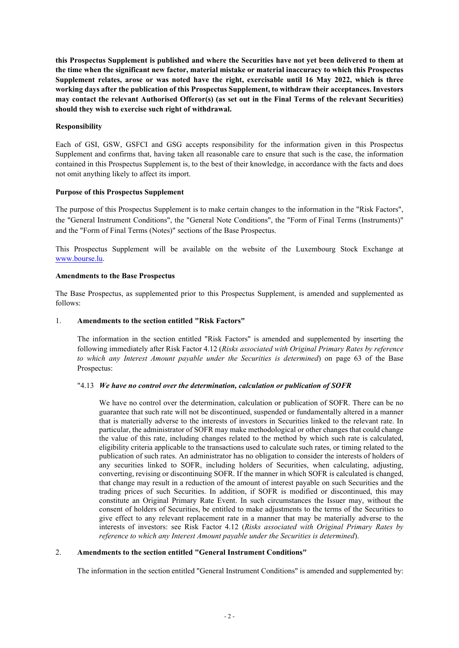**this Prospectus Supplement is published and where the Securities have not yet been delivered to them at the time when the significant new factor, material mistake or material inaccuracy to which this Prospectus Supplement relates, arose or was noted have the right, exercisable until 16 May 2022, which is three working days after the publication of this Prospectus Supplement, to withdraw their acceptances. Investors may contact the relevant Authorised Offeror(s) (as set out in the Final Terms of the relevant Securities) should they wish to exercise such right of withdrawal.**

# **Responsibility**

Each of GSI, GSW, GSFCI and GSG accepts responsibility for the information given in this Prospectus Supplement and confirms that, having taken all reasonable care to ensure that such is the case, the information contained in this Prospectus Supplement is, to the best of their knowledge, in accordance with the facts and does not omit anything likely to affect its import.

## **Purpose of this Prospectus Supplement**

The purpose of this Prospectus Supplement is to make certain changes to the information in the "Risk Factors", the "General Instrument Conditions", the "General Note Conditions", the "Form of Final Terms (Instruments)" and the "Form of Final Terms (Notes)" sections of the Base Prospectus.

This Prospectus Supplement will be available on the website of the Luxembourg Stock Exchange at www.bourse.lu.

# **Amendments to the Base Prospectus**

The Base Prospectus, as supplemented prior to this Prospectus Supplement, is amended and supplemented as follows:

# 1. **Amendments to the section entitled "Risk Factors"**

The information in the section entitled "Risk Factors" is amended and supplemented by inserting the following immediately after Risk Factor 4.12 (*Risks associated with Original Primary Rates by reference to which any Interest Amount payable under the Securities is determined*) on page 63 of the Base Prospectus:

## "4.13 *We have no control over the determination, calculation or publication of SOFR*

We have no control over the determination, calculation or publication of SOFR. There can be no guarantee that such rate will not be discontinued, suspended or fundamentally altered in a manner that is materially adverse to the interests of investors in Securities linked to the relevant rate. In particular, the administrator of SOFR may make methodological or other changes that could change the value of this rate, including changes related to the method by which such rate is calculated, eligibility criteria applicable to the transactions used to calculate such rates, or timing related to the publication of such rates. An administrator has no obligation to consider the interests of holders of any securities linked to SOFR, including holders of Securities, when calculating, adjusting, converting, revising or discontinuing SOFR. If the manner in which SOFR is calculated is changed, that change may result in a reduction of the amount of interest payable on such Securities and the trading prices of such Securities. In addition, if SOFR is modified or discontinued, this may constitute an Original Primary Rate Event. In such circumstances the Issuer may, without the consent of holders of Securities, be entitled to make adjustments to the terms of the Securities to give effect to any relevant replacement rate in a manner that may be materially adverse to the interests of investors: see Risk Factor 4.12 (*Risks associated with Original Primary Rates by reference to which any Interest Amount payable under the Securities is determined*).

## 2. **Amendments to the section entitled "General Instrument Conditions"**

The information in the section entitled "General Instrument Conditions" is amended and supplemented by: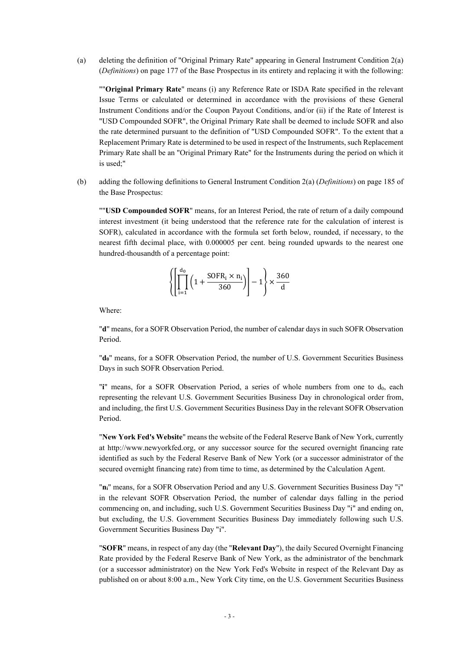(a) deleting the definition of "Original Primary Rate" appearing in General Instrument Condition 2(a) (*Definitions*) on page 177 of the Base Prospectus in its entirety and replacing it with the following:

""**Original Primary Rate**" means (i) any Reference Rate or ISDA Rate specified in the relevant Issue Terms or calculated or determined in accordance with the provisions of these General Instrument Conditions and/or the Coupon Payout Conditions, and/or (ii) if the Rate of Interest is "USD Compounded SOFR", the Original Primary Rate shall be deemed to include SOFR and also the rate determined pursuant to the definition of "USD Compounded SOFR". To the extent that a Replacement Primary Rate is determined to be used in respect of the Instruments, such Replacement Primary Rate shall be an "Original Primary Rate" for the Instruments during the period on which it is used;"

(b) adding the following definitions to General Instrument Condition 2(a) (*Definitions*) on page 185 of the Base Prospectus:

""**USD Compounded SOFR**" means, for an Interest Period, the rate of return of a daily compound interest investment (it being understood that the reference rate for the calculation of interest is SOFR), calculated in accordance with the formula set forth below, rounded, if necessary, to the nearest fifth decimal place, with 0.000005 per cent. being rounded upwards to the nearest one hundred-thousandth of a percentage point:

$$
\left\{ \left[ \prod_{i=1}^{d_0} \left( 1 + \frac{\text{SOFR}_i \times n_i}{360} \right) \right] - 1 \right\} \times \frac{360}{d}
$$

Where:

"**d**" means, for a SOFR Observation Period, the number of calendar days in such SOFR Observation Period.

"**d0**" means, for a SOFR Observation Period, the number of U.S. Government Securities Business Days in such SOFR Observation Period.

"**i**" means, for a SOFR Observation Period, a series of whole numbers from one to d<sub>0</sub>, each representing the relevant U.S. Government Securities Business Day in chronological order from, and including, the first U.S. Government Securities Business Day in the relevant SOFR Observation Period.

"**New York Fed's Website**" means the website of the Federal Reserve Bank of New York, currently at http://www.newyorkfed.org, or any successor source for the secured overnight financing rate identified as such by the Federal Reserve Bank of New York (or a successor administrator of the secured overnight financing rate) from time to time, as determined by the Calculation Agent.

"**ni**" means, for a SOFR Observation Period and any U.S. Government Securities Business Day "i" in the relevant SOFR Observation Period, the number of calendar days falling in the period commencing on, and including, such U.S. Government Securities Business Day "i" and ending on, but excluding, the U.S. Government Securities Business Day immediately following such U.S. Government Securities Business Day "i".

"**SOFR**" means, in respect of any day (the "**Relevant Day**"), the daily Secured Overnight Financing Rate provided by the Federal Reserve Bank of New York, as the administrator of the benchmark (or a successor administrator) on the New York Fed's Website in respect of the Relevant Day as published on or about 8:00 a.m., New York City time, on the U.S. Government Securities Business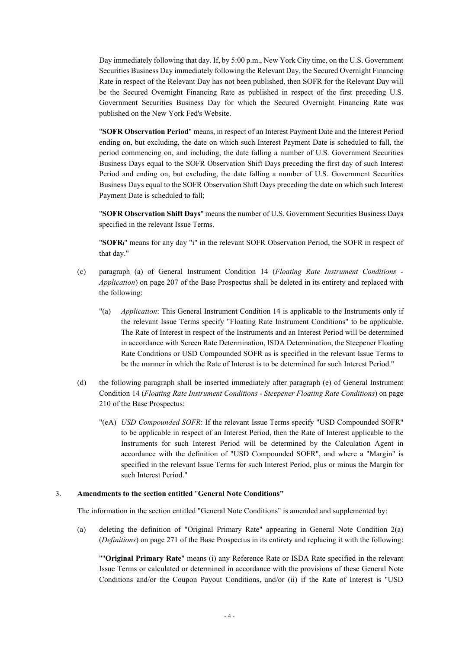Day immediately following that day. If, by 5:00 p.m., New York City time, on the U.S. Government Securities Business Day immediately following the Relevant Day, the Secured Overnight Financing Rate in respect of the Relevant Day has not been published, then SOFR for the Relevant Day will be the Secured Overnight Financing Rate as published in respect of the first preceding U.S. Government Securities Business Day for which the Secured Overnight Financing Rate was published on the New York Fed's Website.

"**SOFR Observation Period**" means, in respect of an Interest Payment Date and the Interest Period ending on, but excluding, the date on which such Interest Payment Date is scheduled to fall, the period commencing on, and including, the date falling a number of U.S. Government Securities Business Days equal to the SOFR Observation Shift Days preceding the first day of such Interest Period and ending on, but excluding, the date falling a number of U.S. Government Securities Business Days equal to the SOFR Observation Shift Days preceding the date on which such Interest Payment Date is scheduled to fall;

"**SOFR Observation Shift Days**" means the number of U.S. Government Securities Business Days specified in the relevant Issue Terms.

"**SOFRi**" means for any day "i" in the relevant SOFR Observation Period, the SOFR in respect of that day."

- (c) paragraph (a) of General Instrument Condition 14 (*Floating Rate Instrument Conditions - Application*) on page 207 of the Base Prospectus shall be deleted in its entirety and replaced with the following:
	- "(a) *Application*: This General Instrument Condition 14 is applicable to the Instruments only if the relevant Issue Terms specify "Floating Rate Instrument Conditions" to be applicable. The Rate of Interest in respect of the Instruments and an Interest Period will be determined in accordance with Screen Rate Determination, ISDA Determination, the Steepener Floating Rate Conditions or USD Compounded SOFR as is specified in the relevant Issue Terms to be the manner in which the Rate of Interest is to be determined for such Interest Period."
- (d) the following paragraph shall be inserted immediately after paragraph (e) of General Instrument Condition 14 (*Floating Rate Instrument Conditions - Steepener Floating Rate Conditions*) on page 210 of the Base Prospectus:
	- "(eA) *USD Compounded SOFR*: If the relevant Issue Terms specify "USD Compounded SOFR" to be applicable in respect of an Interest Period, then the Rate of Interest applicable to the Instruments for such Interest Period will be determined by the Calculation Agent in accordance with the definition of "USD Compounded SOFR", and where a "Margin" is specified in the relevant Issue Terms for such Interest Period, plus or minus the Margin for such Interest Period."

### 3. **Amendments to the section entitled** "**General Note Conditions"**

The information in the section entitled "General Note Conditions" is amended and supplemented by:

(a) deleting the definition of "Original Primary Rate" appearing in General Note Condition 2(a) (*Definitions*) on page 271 of the Base Prospectus in its entirety and replacing it with the following:

""**Original Primary Rate**" means (i) any Reference Rate or ISDA Rate specified in the relevant Issue Terms or calculated or determined in accordance with the provisions of these General Note Conditions and/or the Coupon Payout Conditions, and/or (ii) if the Rate of Interest is "USD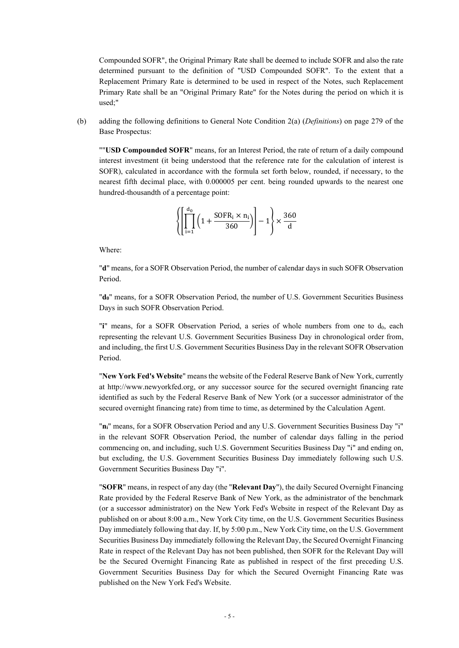Compounded SOFR", the Original Primary Rate shall be deemed to include SOFR and also the rate determined pursuant to the definition of "USD Compounded SOFR". To the extent that a Replacement Primary Rate is determined to be used in respect of the Notes, such Replacement Primary Rate shall be an "Original Primary Rate" for the Notes during the period on which it is used;"

(b) adding the following definitions to General Note Condition 2(a) (*Definitions*) on page 279 of the Base Prospectus:

""**USD Compounded SOFR**" means, for an Interest Period, the rate of return of a daily compound interest investment (it being understood that the reference rate for the calculation of interest is SOFR), calculated in accordance with the formula set forth below, rounded, if necessary, to the nearest fifth decimal place, with 0.000005 per cent. being rounded upwards to the nearest one hundred-thousandth of a percentage point:

$$
\left\{ \left[ \prod_{i=1}^{d_0} \left( 1 + \frac{\text{SOFR}_i \times n_i}{360} \right) \right] - 1 \right\} \times \frac{360}{d}
$$

Where:

"**d**" means, for a SOFR Observation Period, the number of calendar days in such SOFR Observation Period.

"**d0**" means, for a SOFR Observation Period, the number of U.S. Government Securities Business Days in such SOFR Observation Period.

"**i**" means, for a SOFR Observation Period, a series of whole numbers from one to d0, each representing the relevant U.S. Government Securities Business Day in chronological order from, and including, the first U.S. Government Securities Business Day in the relevant SOFR Observation Period.

"**New York Fed's Website**" means the website of the Federal Reserve Bank of New York, currently at http://www.newyorkfed.org, or any successor source for the secured overnight financing rate identified as such by the Federal Reserve Bank of New York (or a successor administrator of the secured overnight financing rate) from time to time, as determined by the Calculation Agent.

"**ni**" means, for a SOFR Observation Period and any U.S. Government Securities Business Day "i" in the relevant SOFR Observation Period, the number of calendar days falling in the period commencing on, and including, such U.S. Government Securities Business Day "i" and ending on, but excluding, the U.S. Government Securities Business Day immediately following such U.S. Government Securities Business Day "i".

"**SOFR**" means, in respect of any day (the "**Relevant Day**"), the daily Secured Overnight Financing Rate provided by the Federal Reserve Bank of New York, as the administrator of the benchmark (or a successor administrator) on the New York Fed's Website in respect of the Relevant Day as published on or about 8:00 a.m., New York City time, on the U.S. Government Securities Business Day immediately following that day. If, by 5:00 p.m., New York City time, on the U.S. Government Securities Business Day immediately following the Relevant Day, the Secured Overnight Financing Rate in respect of the Relevant Day has not been published, then SOFR for the Relevant Day will be the Secured Overnight Financing Rate as published in respect of the first preceding U.S. Government Securities Business Day for which the Secured Overnight Financing Rate was published on the New York Fed's Website.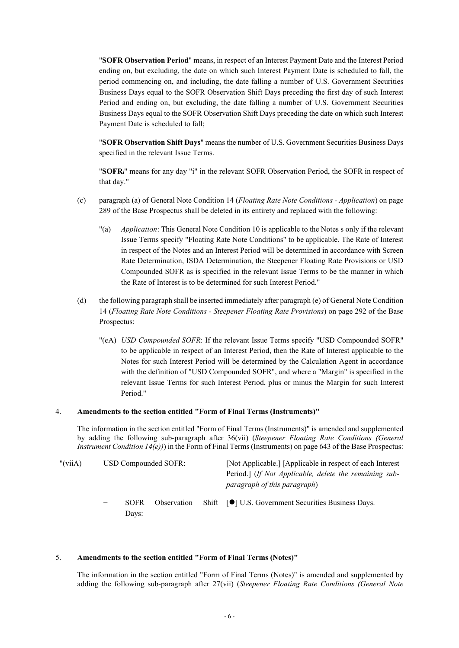"**SOFR Observation Period**" means, in respect of an Interest Payment Date and the Interest Period ending on, but excluding, the date on which such Interest Payment Date is scheduled to fall, the period commencing on, and including, the date falling a number of U.S. Government Securities Business Days equal to the SOFR Observation Shift Days preceding the first day of such Interest Period and ending on, but excluding, the date falling a number of U.S. Government Securities Business Days equal to the SOFR Observation Shift Days preceding the date on which such Interest Payment Date is scheduled to fall;

"**SOFR Observation Shift Days**" means the number of U.S. Government Securities Business Days specified in the relevant Issue Terms.

"**SOFRi**" means for any day "i" in the relevant SOFR Observation Period, the SOFR in respect of that day."

- (c) paragraph (a) of General Note Condition 14 (*Floating Rate Note Conditions - Application*) on page 289 of the Base Prospectus shall be deleted in its entirety and replaced with the following:
	- "(a) *Application*: This General Note Condition 10 is applicable to the Notes s only if the relevant Issue Terms specify "Floating Rate Note Conditions" to be applicable. The Rate of Interest in respect of the Notes and an Interest Period will be determined in accordance with Screen Rate Determination, ISDA Determination, the Steepener Floating Rate Provisions or USD Compounded SOFR as is specified in the relevant Issue Terms to be the manner in which the Rate of Interest is to be determined for such Interest Period."
- (d) the following paragraph shall be inserted immediately after paragraph (e) of General Note Condition 14 (*Floating Rate Note Conditions - Steepener Floating Rate Provisions*) on page 292 of the Base Prospectus:
	- "(eA) *USD Compounded SOFR*: If the relevant Issue Terms specify "USD Compounded SOFR" to be applicable in respect of an Interest Period, then the Rate of Interest applicable to the Notes for such Interest Period will be determined by the Calculation Agent in accordance with the definition of "USD Compounded SOFR", and where a "Margin" is specified in the relevant Issue Terms for such Interest Period, plus or minus the Margin for such Interest Period."

#### 4. **Amendments to the section entitled "Form of Final Terms (Instruments)"**

The information in the section entitled "Form of Final Terms (Instruments)" is amended and supplemented by adding the following sub-paragraph after 36(vii) (*Steepener Floating Rate Conditions (General Instrument Condition 14(e))*) in the Form of Final Terms(Instruments) on page 643 of the Base Prospectus:

| " $(viiA)$ | USD Compounded SOFR: |                      |  |  | [Not Applicable.] [Applicable in respect of each Interest]<br>Period.] (If Not Applicable, delete the remaining sub-<br>paragraph of this paragraph) |
|------------|----------------------|----------------------|--|--|------------------------------------------------------------------------------------------------------------------------------------------------------|
|            | $\qquad \qquad -$    | <b>SOFR</b><br>Days: |  |  | Observation Shift [O] U.S. Government Securities Business Days.                                                                                      |

#### 5. **Amendments to the section entitled "Form of Final Terms (Notes)"**

The information in the section entitled "Form of Final Terms (Notes)" is amended and supplemented by adding the following sub-paragraph after 27(vii) (*Steepener Floating Rate Conditions (General Note*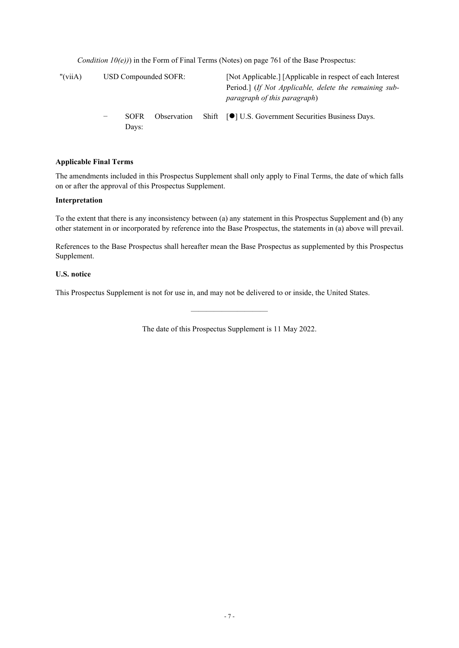*Condition*  $10(e)$ *)* in the Form of Final Terms (Notes) on page 761 of the Base Prospectus:

| " $(viiA)$ | USD Compounded SOFR: |                      |             |  | [Not Applicable.] [Applicable in respect of each Interest]<br>Period.] (If Not Applicable, delete the remaining sub-<br>paragraph of this paragraph) |
|------------|----------------------|----------------------|-------------|--|------------------------------------------------------------------------------------------------------------------------------------------------------|
|            | —                    | <b>SOFR</b><br>Days: | Observation |  | Shift [●] U.S. Government Securities Business Days.                                                                                                  |

## **Applicable Final Terms**

The amendments included in this Prospectus Supplement shall only apply to Final Terms, the date of which falls on or after the approval of this Prospectus Supplement.

### **Interpretation**

To the extent that there is any inconsistency between (a) any statement in this Prospectus Supplement and (b) any other statement in or incorporated by reference into the Base Prospectus, the statements in (a) above will prevail.

References to the Base Prospectus shall hereafter mean the Base Prospectus as supplemented by this Prospectus Supplement.

# **U.S. notice**

This Prospectus Supplement is not for use in, and may not be delivered to or inside, the United States.

The date of this Prospectus Supplement is 11 May 2022.

——————————